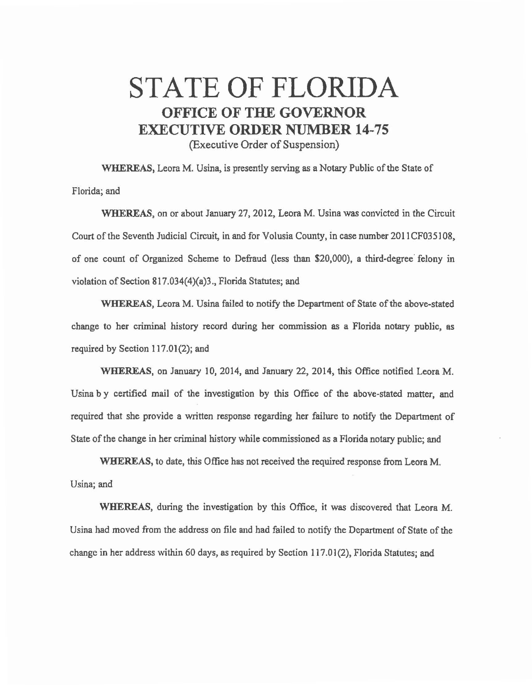## STATE OF FLORIDA OFFICE OF THE GOVERNOR EXECUTIVE ORDER NUMBER 14-75 (Executive Order of Suspension)

WHEREAS, Leora M. Usina, is presently serving as a Notary Public of the State of Florida; and

WHEREAS, on or about January 27, 2012, Leora M. Usina was convicted in the Circuit Court of the Seventh Judicial Circuit, in and for Volusia County, in case number 2011CF035108, of one count of Organized Scheme to Defraud (less than \$20,000), a third-degree· felony in violation of Section 817.034(4)(a)3., Florida Statutes; and

WHEREAS, Leora M. Usina failed to notify the Department of State of the above-stated change to her criminal history record during her commission as a Florida notary public, as required by Section 117.01(2); and

WHEREAS, on January 10, 2014, and January 22, 2014, this Office notified Leora M. Usina by certified mail of the investigation by this Office of the above-stated matter, and required that she provide a written response regarding her failure to notify the Department of State of the change in her criminal history while commissioned as a Florida notary public; and

WHEREAS, to date, this Office has not received the required response from Leora M. Usina; and

WHEREAS, during the investigation by this Office, it was discovered that Leora M. Usina had moved from the address on file and had failed to notify the Department of State of the change in her address within 60 days, as required by Section 117.01(2), Florida Statutes; and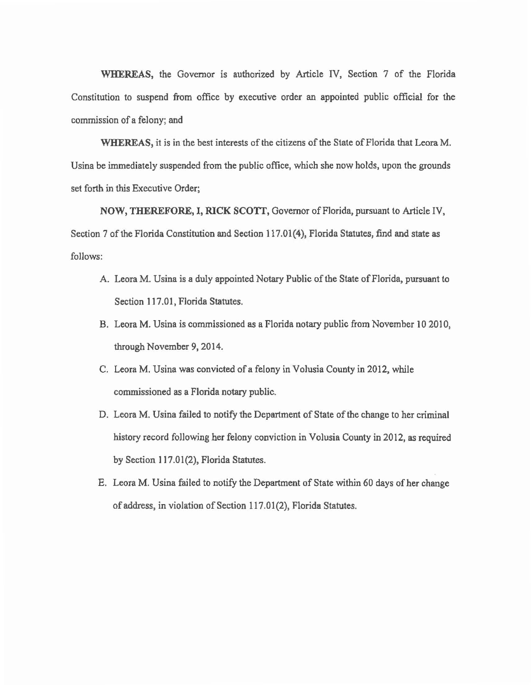WHEREAS, the Governor is authorized by Article IV, Section 7 of the Florida Constitution to suspend from office by executive order an appointed public official for the commission of a felony; and

WHEREAS, it is in the best interests of the citizens of the State of Florida that Leora M. Usina be immediately suspended from the public office, which she now holds, upon the grounds set forth in this Executive Order;

NOW, THEREFORE, I, RICK SCOTI', Governor of Florida, pursuant to Article IV, Section 7 of the Florida Constitution and Section 117.01(4), Florida Statutes, find and state as follows:

- A. Leora M. Usina is a duly appointed Notary Public of the State of Florida, pursuant to Section 117.01, Florida Statutes.
- B. Leora M. Usina is commissioned as a Florida notary public from November 10 2010, through November 9, 2014.
- C. Leora M. Usina was convicted of a felony in Volusia County in 2012, while commissioned as a Florida notary public.
- D. Leora M. Usina failed to notify the Department of State of the change to her criminal history record following her felony conviction in Volusia County in 2012, as required by Section 117.01(2), Florida Statutes.
- E. Leora M. Usina failed to notify the Department of State within 60 days of her change of address, in violation of Section 117.01(2), Florida Statutes.